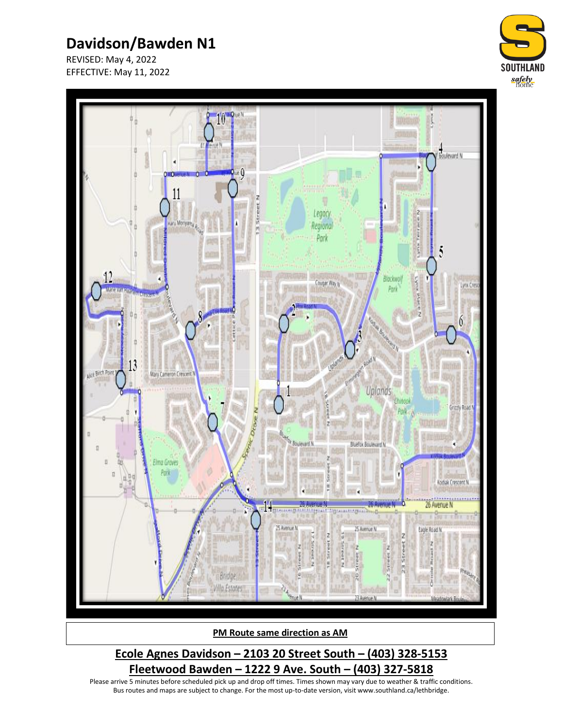# **Davidson/Bawden N1**

REVISED: May 4, 2022 EFFECTIVE: May 11, 2022





**PM Route same direction as AM**

### **Ecole Agnes Davidson – 2103 20 Street South – (403) 328-5153 Fleetwood Bawden – 1222 9 Ave. South – (403) 327-5818**

Please arrive 5 minutes before scheduled pick up and drop off times. Times shown may vary due to weather & traffic conditions. Bus routes and maps are subject to change. For the most up-to-date version, visit www.southland.ca/lethbridge.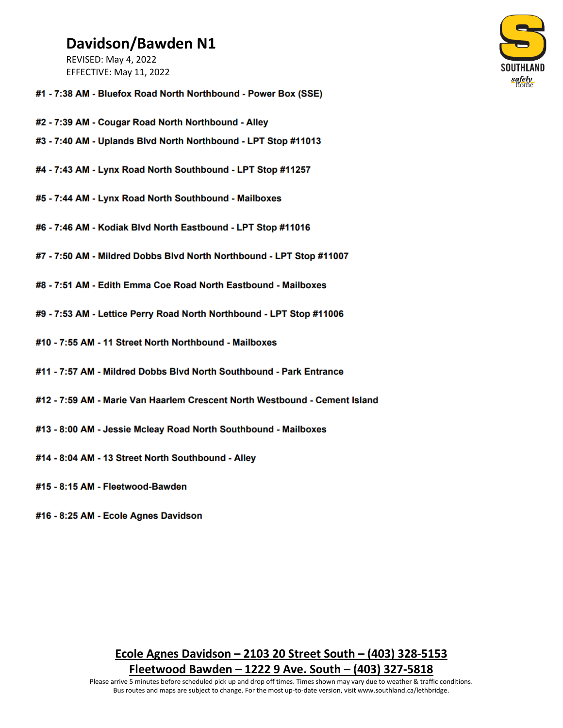## Davidson/Bawden N1

**REVISED: May 4, 2022** EFFECTIVE: May 11, 2022



- #1 7:38 AM Bluefox Road North Northbound Power Box (SSE)
- #2 7:39 AM Cougar Road North Northbound Alley
- #3 7:40 AM Uplands Blvd North Northbound LPT Stop #11013
- #4 7:43 AM Lynx Road North Southbound LPT Stop #11257
- #5 7:44 AM Lynx Road North Southbound Mailboxes
- #6 7:46 AM Kodiak Blvd North Eastbound LPT Stop #11016
- #7 7:50 AM Mildred Dobbs Blvd North Northbound LPT Stop #11007
- #8 7:51 AM Edith Emma Coe Road North Eastbound Mailboxes
- #9 7:53 AM Lettice Perry Road North Northbound LPT Stop #11006
- #10 7:55 AM 11 Street North Northbound Mailboxes
- #11 7:57 AM Mildred Dobbs Blyd North Southbound Park Entrance
- #12 7:59 AM Marie Van Haarlem Crescent North Westbound Cement Island
- #13 8:00 AM Jessie Mcleay Road North Southbound Mailboxes
- #14 8:04 AM 13 Street North Southbound Alley
- #15 8:15 AM Fleetwood-Bawden
- #16 8:25 AM Ecole Agnes Davidson

### Ecole Agnes Davidson - 2103 20 Street South - (403) 328-5153 Fleetwood Bawden – 1222 9 Ave. South – (403) 327-5818

Please arrive 5 minutes before scheduled pick up and drop off times. Times shown may vary due to weather & traffic conditions. Bus routes and maps are subject to change. For the most up-to-date version, visit www.southland.ca/lethbridge.